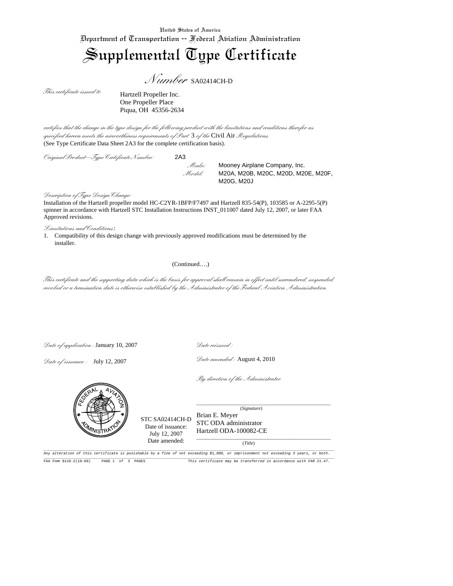## Supplemental Type Certificate

*Number* SA02414CH-D

*This certificate issued to* 

Hartzell Propeller Inc. One Propeller Place Piqua, OH 45356-2634

*certifies that the change in the type design for the following product with the limitations and conditions therefor as specified hereon meets the airworthiness requirements of Part* 3 *of the* Civil Air *Regulations.*  (See Type Certificate Data Sheet 2A3 for the complete certification basis).

*Original Product–Type Certificate Number:* 2A3

 *Make:* Mooney Airplane Company, Inc. *Model:* M20A, M20B, M20C, M20D, M20E, M20F, M20G, M20J

*Description of Type Design Change:*

Installation of the Hartzell propeller model HC-C2YR-1BFP/F7497 and Hartzell 835-54(P), 103585 or A-2295-5(P) spinner in accordance with Hartzell STC Installation Instructions INST\_011007 dated July 12, 2007, or later FAA Approved revisions.

*Limitations and Conditions:*

1. Compatibility of this design change with previously approved modifications must be determined by the installer.

## (Continued….)

*This certificate and the supporting data which is the basis for approval shall remain in effect until surrendered, suspended, revoked or a termination date is otherwise established by the Administrator of the Federal Aviation Administration.* 

*Date of application :* January 10, 2007

*Date of issuance :* July 12, 2007

*Date reissued :* 

*Date amended :* August 4, 2010

*By direction of the Administrator*



Any alteration of this certificate is punishable by a fine of not exceeding \$1,000, or imprisonment not exceeding 3 years, or both. FAR FORM 8110-2(10-68) PAGE 1 of 3 PAGES This certificate may be transferred in accordance with PAR 21.47.